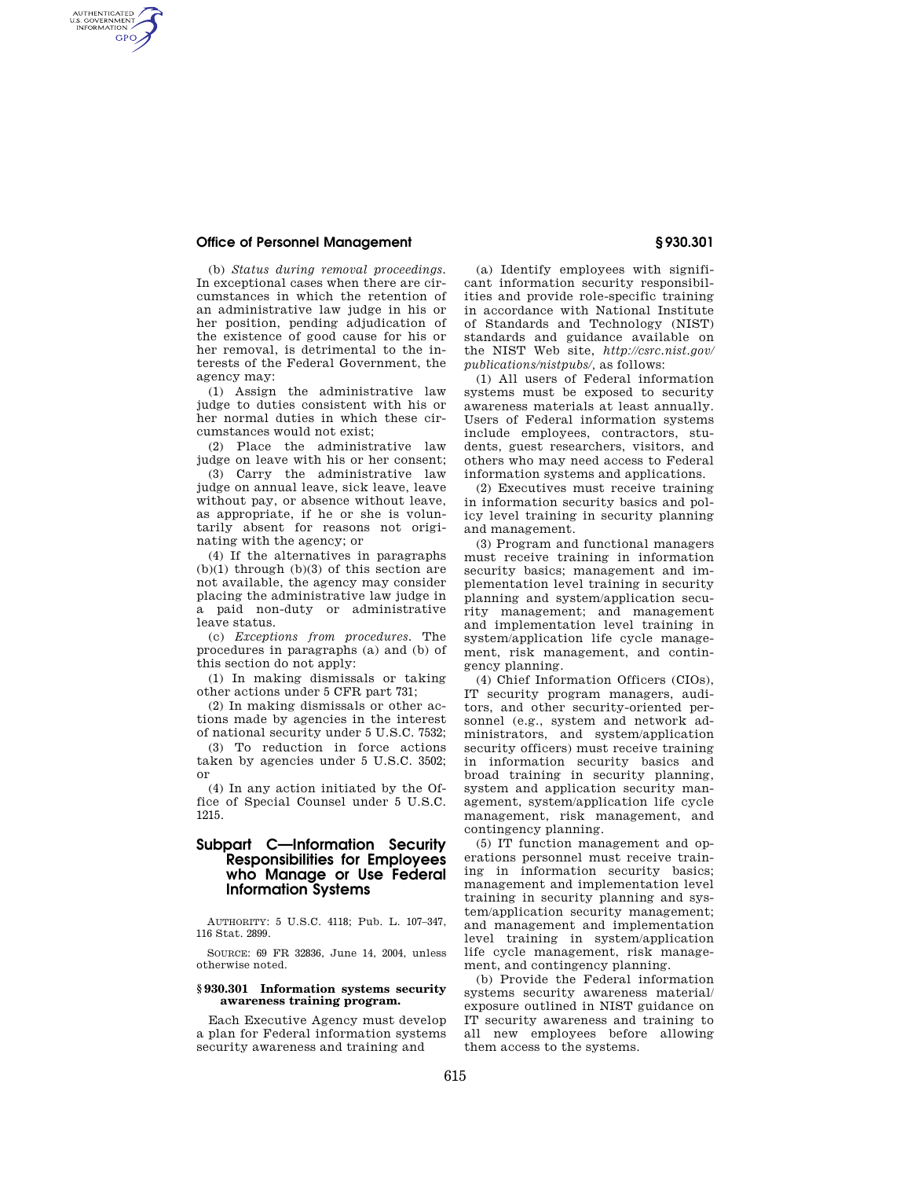# **Office of Personnel Management § 930.301**

AUTHENTICATED<br>U.S. GOVERNMENT<br>INFORMATION GPO

> (b) *Status during removal proceedings.*  In exceptional cases when there are circumstances in which the retention of an administrative law judge in his or her position, pending adjudication of the existence of good cause for his or her removal, is detrimental to the interests of the Federal Government, the agency may:

> (1) Assign the administrative law judge to duties consistent with his or her normal duties in which these circumstances would not exist;

> (2) Place the administrative law judge on leave with his or her consent;

(3) Carry the administrative law judge on annual leave, sick leave, leave without pay, or absence without leave, as appropriate, if he or she is voluntarily absent for reasons not originating with the agency; or

(4) If the alternatives in paragraphs  $(b)(1)$  through  $(b)(3)$  of this section are not available, the agency may consider placing the administrative law judge in a paid non-duty or administrative leave status.

(c) *Exceptions from procedures.* The procedures in paragraphs (a) and (b) of this section do not apply:

(1) In making dismissals or taking other actions under 5 CFR part 731;

(2) In making dismissals or other actions made by agencies in the interest of national security under 5 U.S.C. 7532;

(3) To reduction in force actions taken by agencies under 5 U.S.C. 3502; or

(4) In any action initiated by the Office of Special Counsel under 5 U.S.C. 1215.

# **Subpart C—Information Security Responsibilities for Employees who Manage or Use Federal Information Systems**

AUTHORITY: 5 U.S.C. 4118; Pub. L. 107–347, 116 Stat. 2899.

SOURCE: 69 FR 32836, June 14, 2004, unless otherwise noted.

## **§ 930.301 Information systems security awareness training program.**

Each Executive Agency must develop a plan for Federal information systems security awareness and training and

(a) Identify employees with significant information security responsibilities and provide role-specific training in accordance with National Institute of Standards and Technology (NIST) standards and guidance available on the NIST Web site, *http://csrc.nist.gov/ publications/nistpubs/,* as follows:

(1) All users of Federal information systems must be exposed to security awareness materials at least annually. Users of Federal information systems include employees, contractors, students, guest researchers, visitors, and others who may need access to Federal information systems and applications.

(2) Executives must receive training in information security basics and policy level training in security planning and management.

(3) Program and functional managers must receive training in information security basics; management and implementation level training in security planning and system/application security management; and management and implementation level training in system/application life cycle management, risk management, and contingency planning.

(4) Chief Information Officers (CIOs), IT security program managers, auditors, and other security-oriented personnel (e.g., system and network administrators, and system/application security officers) must receive training in information security basics and broad training in security planning, system and application security management, system/application life cycle management, risk management, and contingency planning.

(5) IT function management and operations personnel must receive training in information security basics; management and implementation level training in security planning and system/application security management; and management and implementation level training in system/application life cycle management, risk management, and contingency planning.

(b) Provide the Federal information systems security awareness material/ exposure outlined in NIST guidance on IT security awareness and training to all new employees before allowing them access to the systems.